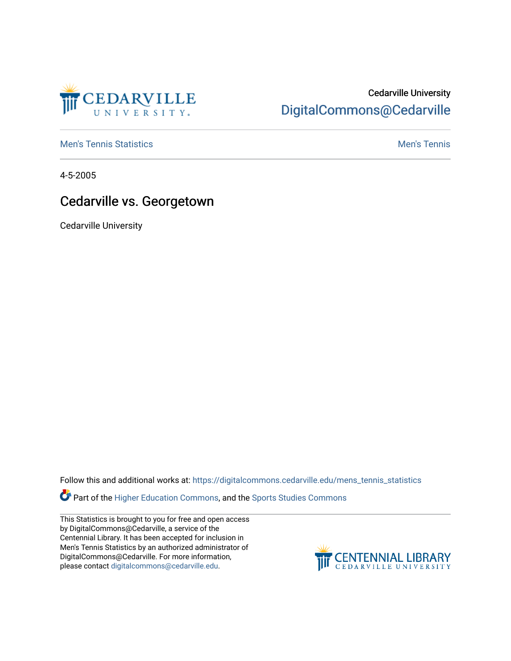

## Cedarville University [DigitalCommons@Cedarville](https://digitalcommons.cedarville.edu/)

**[Men's Tennis Statistics](https://digitalcommons.cedarville.edu/mens_tennis_statistics) Mental According to the Control of Control According Mental Men's Tennis** 

4-5-2005

## Cedarville vs. Georgetown

Cedarville University

Follow this and additional works at: [https://digitalcommons.cedarville.edu/mens\\_tennis\\_statistics](https://digitalcommons.cedarville.edu/mens_tennis_statistics?utm_source=digitalcommons.cedarville.edu%2Fmens_tennis_statistics%2F609&utm_medium=PDF&utm_campaign=PDFCoverPages)

Part of the [Higher Education Commons,](http://network.bepress.com/hgg/discipline/1245?utm_source=digitalcommons.cedarville.edu%2Fmens_tennis_statistics%2F609&utm_medium=PDF&utm_campaign=PDFCoverPages) and the [Sports Studies Commons](http://network.bepress.com/hgg/discipline/1198?utm_source=digitalcommons.cedarville.edu%2Fmens_tennis_statistics%2F609&utm_medium=PDF&utm_campaign=PDFCoverPages) 

This Statistics is brought to you for free and open access by DigitalCommons@Cedarville, a service of the Centennial Library. It has been accepted for inclusion in Men's Tennis Statistics by an authorized administrator of DigitalCommons@Cedarville. For more information, please contact [digitalcommons@cedarville.edu](mailto:digitalcommons@cedarville.edu).